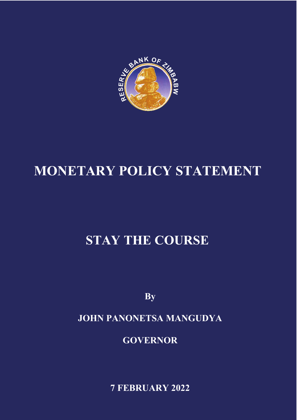

# **MONETARY POLICY STATEMENT**

# **STAY THE COURSE**

**By**

# **JOHN PANONETSA MANGUDYA**

**GOVERNOR**

**7 FEBRUARY 2022**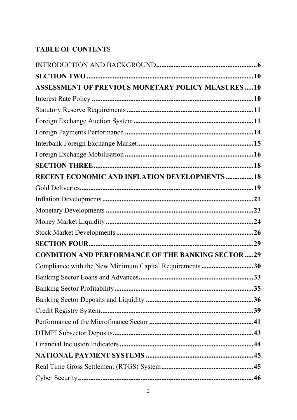## **TABLE OF CONTENTS**

| <b>ASSESSMENT OF PREVIOUS MONETARY POLICY MEASURES 10</b> |
|-----------------------------------------------------------|
|                                                           |
|                                                           |
|                                                           |
|                                                           |
|                                                           |
|                                                           |
|                                                           |
| <b>RECENT ECONOMIC AND INFLATION DEVELOPMENTS18</b>       |
|                                                           |
|                                                           |
|                                                           |
|                                                           |
|                                                           |
|                                                           |
| <b>CONDITION AND PERFORMANCE OF THE BANKING SECTOR 29</b> |
| Compliance with the New Minimum Capital Requirements30    |
|                                                           |
|                                                           |
|                                                           |
|                                                           |
|                                                           |
|                                                           |
|                                                           |
|                                                           |
|                                                           |
|                                                           |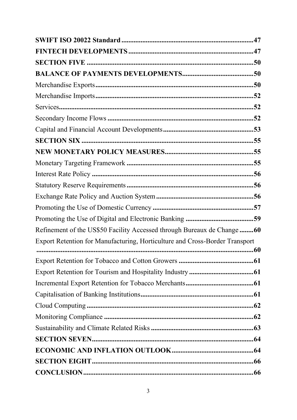| Refinement of the US\$50 Facility Accessed through Bureaux de Change 60     |  |
|-----------------------------------------------------------------------------|--|
| Export Retention for Manufacturing, Horticulture and Cross-Border Transport |  |
|                                                                             |  |
|                                                                             |  |
|                                                                             |  |
|                                                                             |  |
|                                                                             |  |
|                                                                             |  |
|                                                                             |  |
|                                                                             |  |
|                                                                             |  |
|                                                                             |  |
|                                                                             |  |
|                                                                             |  |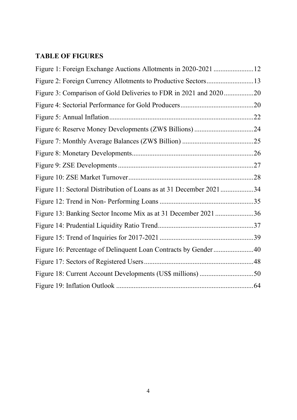## **TABLE OF FIGURES**

| Figure 3: Comparison of Gold Deliveries to FDR in 2021 and 202020  |  |
|--------------------------------------------------------------------|--|
|                                                                    |  |
|                                                                    |  |
|                                                                    |  |
|                                                                    |  |
|                                                                    |  |
|                                                                    |  |
|                                                                    |  |
| Figure 11: Sectoral Distribution of Loans as at 31 December 202134 |  |
|                                                                    |  |
| Figure 13: Banking Sector Income Mix as at 31 December 2021 36     |  |
|                                                                    |  |
|                                                                    |  |
| Figure 16: Percentage of Delinquent Loan Contracts by Gender40     |  |
|                                                                    |  |
|                                                                    |  |
|                                                                    |  |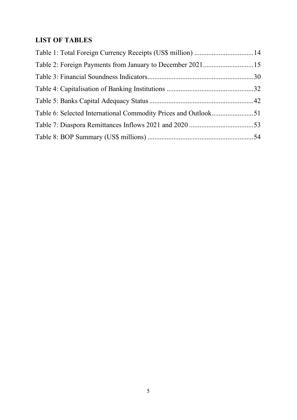# **LIST OF TABLES**

| Table 1: Total Foreign Currency Receipts (US\$ million) 14 |  |
|------------------------------------------------------------|--|
|                                                            |  |
|                                                            |  |
|                                                            |  |
|                                                            |  |
|                                                            |  |
|                                                            |  |
|                                                            |  |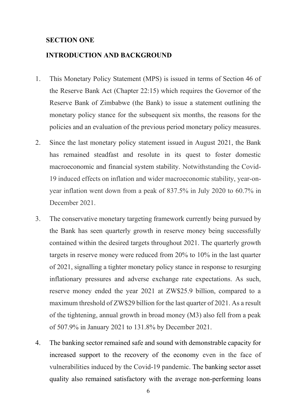#### **SECTION ONE**

#### **INTRODUCTION AND BACKGROUND**

- 1. This Monetary Policy Statement (MPS) is issued in terms of Section 46 of the Reserve Bank Act (Chapter 22:15) which requires the Governor of the Reserve Bank of Zimbabwe (the Bank) to issue a statement outlining the monetary policy stance for the subsequent six months, the reasons for the policies and an evaluation of the previous period monetary policy measures.
- 2. Since the last monetary policy statement issued in August 2021, the Bank has remained steadfast and resolute in its quest to foster domestic macroeconomic and financial system stability. Notwithstanding the Covid-19 induced effects on inflation and wider macroeconomic stability, year-onyear inflation went down from a peak of 837.5% in July 2020 to 60.7% in December 2021.
- 3. The conservative monetary targeting framework currently being pursued by the Bank has seen quarterly growth in reserve money being successfully contained within the desired targets throughout 2021. The quarterly growth targets in reserve money were reduced from 20% to 10% in the last quarter of 2021, signalling a tighter monetary policy stance in response to resurging inflationary pressures and adverse exchange rate expectations. As such, reserve money ended the year 2021 at ZW\$25.9 billion, compared to a maximum threshold of ZW\$29 billion for the last quarter of 2021. As a result of the tightening, annual growth in broad money (M3) also fell from a peak of 507.9% in January 2021 to 131.8% by December 2021.
- 4. The banking sector remained safe and sound with demonstrable capacity for increased support to the recovery of the economy even in the face of vulnerabilities induced by the Covid-19 pandemic. The banking sector asset quality also remained satisfactory with the average non-performing loans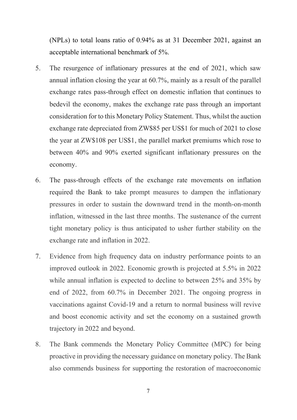(NPLs) to total loans ratio of 0.94% as at 31 December 2021, against an acceptable international benchmark of 5%.

- 5. The resurgence of inflationary pressures at the end of 2021, which saw annual inflation closing the year at 60.7%, mainly as a result of the parallel exchange rates pass-through effect on domestic inflation that continues to bedevil the economy, makes the exchange rate pass through an important consideration for to this Monetary Policy Statement. Thus, whilst the auction exchange rate depreciated from ZW\$85 per US\$1 for much of 2021 to close the year at ZW\$108 per US\$1, the parallel market premiums which rose to between 40% and 90% exerted significant inflationary pressures on the economy.
- 6. The pass-through effects of the exchange rate movements on inflation required the Bank to take prompt measures to dampen the inflationary pressures in order to sustain the downward trend in the month-on-month inflation, witnessed in the last three months. The sustenance of the current tight monetary policy is thus anticipated to usher further stability on the exchange rate and inflation in 2022.
- 7. Evidence from high frequency data on industry performance points to an improved outlook in 2022. Economic growth is projected at 5.5% in 2022 while annual inflation is expected to decline to between 25% and 35% by end of 2022, from 60.7% in December 2021. The ongoing progress in vaccinations against Covid-19 and a return to normal business will revive and boost economic activity and set the economy on a sustained growth trajectory in 2022 and beyond.
- 8. The Bank commends the Monetary Policy Committee (MPC) for being proactive in providing the necessary guidance on monetary policy. The Bank also commends business for supporting the restoration of macroeconomic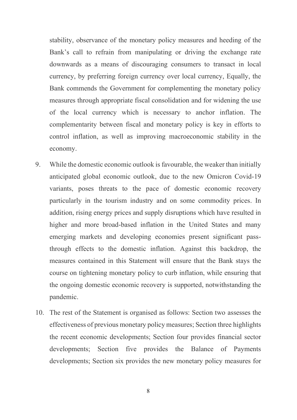stability, observance of the monetary policy measures and heeding of the Bank's call to refrain from manipulating or driving the exchange rate downwards as a means of discouraging consumers to transact in local currency, by preferring foreign currency over local currency, Equally, the Bank commends the Government for complementing the monetary policy measures through appropriate fiscal consolidation and for widening the use of the local currency which is necessary to anchor inflation. The complementarity between fiscal and monetary policy is key in efforts to control inflation, as well as improving macroeconomic stability in the economy.

- 9. While the domestic economic outlook is favourable, the weaker than initially anticipated global economic outlook, due to the new Omicron Covid-19 variants, poses threats to the pace of domestic economic recovery particularly in the tourism industry and on some commodity prices. In addition, rising energy prices and supply disruptions which have resulted in higher and more broad-based inflation in the United States and many emerging markets and developing economies present significant passthrough effects to the domestic inflation. Against this backdrop, the measures contained in this Statement will ensure that the Bank stays the course on tightening monetary policy to curb inflation, while ensuring that the ongoing domestic economic recovery is supported, notwithstanding the pandemic.
- 10. The rest of the Statement is organised as follows: Section two assesses the effectiveness of previous monetary policy measures; Section three highlights the recent economic developments; Section four provides financial sector developments; Section five provides the Balance of Payments developments; Section six provides the new monetary policy measures for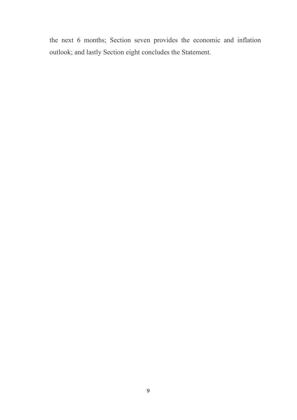the next 6 months; Section seven provides the economic and inflation outlook; and lastly Section eight concludes the Statement.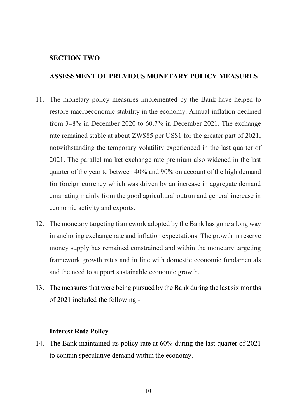#### **SECTION TWO**

#### **ASSESSMENT OF PREVIOUS MONETARY POLICY MEASURES**

- 11. The monetary policy measures implemented by the Bank have helped to restore macroeconomic stability in the economy. Annual inflation declined from 348% in December 2020 to 60.7% in December 2021. The exchange rate remained stable at about ZW\$85 per US\$1 for the greater part of 2021, notwithstanding the temporary volatility experienced in the last quarter of 2021. The parallel market exchange rate premium also widened in the last quarter of the year to between 40% and 90% on account of the high demand for foreign currency which was driven by an increase in aggregate demand emanating mainly from the good agricultural outrun and general increase in economic activity and exports.
- 12. The monetary targeting framework adopted by the Bank has gone a long way in anchoring exchange rate and inflation expectations. The growth in reserve money supply has remained constrained and within the monetary targeting framework growth rates and in line with domestic economic fundamentals and the need to support sustainable economic growth.
- 13. The measures that were being pursued by the Bank during the last six months of 2021 included the following:-

#### **Interest Rate Policy**

14. The Bank maintained its policy rate at 60% during the last quarter of 2021 to contain speculative demand within the economy.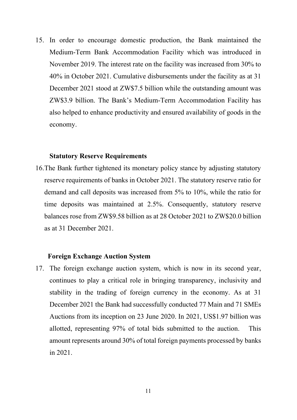15. In order to encourage domestic production, the Bank maintained the Medium-Term Bank Accommodation Facility which was introduced in November 2019. The interest rate on the facility was increased from 30% to 40% in October 2021. Cumulative disbursements under the facility as at 31 December 2021 stood at ZW\$7.5 billion while the outstanding amount was ZW\$3.9 billion. The Bank's Medium-Term Accommodation Facility has also helped to enhance productivity and ensured availability of goods in the economy.

#### **Statutory Reserve Requirements**

16.The Bank further tightened its monetary policy stance by adjusting statutory reserve requirements of banks in October 2021. The statutory reserve ratio for demand and call deposits was increased from 5% to 10%, while the ratio for time deposits was maintained at 2.5%. Consequently, statutory reserve balances rose from ZW\$9.58 billion as at 28 October 2021 to ZW\$20.0 billion as at 31 December 2021.

#### **Foreign Exchange Auction System**

17. The foreign exchange auction system, which is now in its second year, continues to play a critical role in bringing transparency, inclusivity and stability in the trading of foreign currency in the economy. As at 31 December 2021 the Bank had successfully conducted 77 Main and 71 SMEs Auctions from its inception on 23 June 2020. In 2021, US\$1.97 billion was allotted, representing 97% of total bids submitted to the auction. This amount represents around 30% of total foreign payments processed by banks in 2021.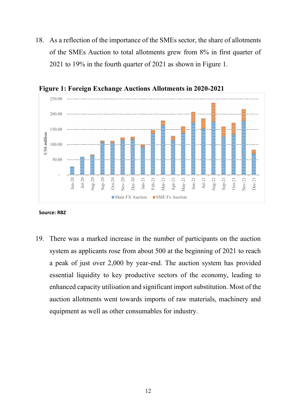18. As a reflection of the importance of the SMEs sector, the share of allotments of the SMEs Auction to total allotments grew from 8% in first quarter of 2021 to 19% in the fourth quarter of 2021 as shown in Figure 1.



**Figure 1: Foreign Exchange Auctions Allotments in 2020-2021** 

#### **Source: RBZ**

19. There was a marked increase in the number of participants on the auction system as applicants rose from about 500 at the beginning of 2021 to reach a peak of just over 2,000 by year-end. The auction system has provided essential liquidity to key productive sectors of the economy, leading to enhanced capacity utilisation and significant import substitution. Most of the auction allotments went towards imports of raw materials, machinery and equipment as well as other consumables for industry.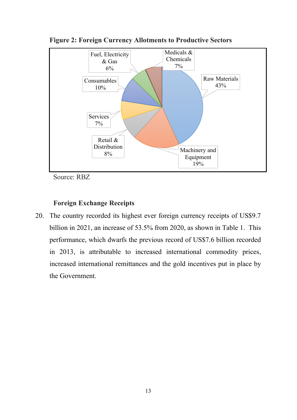

**Figure 2: Foreign Currency Allotments to Productive Sectors** 

Source: RBZ

#### **Foreign Exchange Receipts**

20. The country recorded its highest ever foreign currency receipts of US\$9.7 billion in 2021, an increase of 53.5% from 2020, as shown in Table 1. This performance, which dwarfs the previous record of US\$7.6 billion recorded in 2013, is attributable to increased international commodity prices, increased international remittances and the gold incentives put in place by the Government.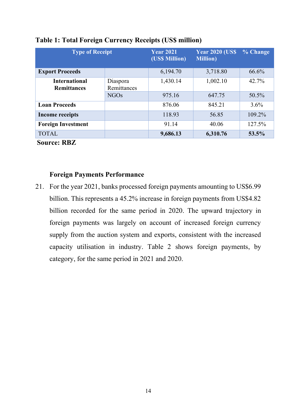| <b>Type of Receipt</b>                     |                         | <b>Year 2021</b><br>(US\$ Million) | <b>Year 2020 (US\$)</b><br><b>Million</b> ) | % Change |
|--------------------------------------------|-------------------------|------------------------------------|---------------------------------------------|----------|
| <b>Export Proceeds</b>                     |                         | 6,194.70                           | 3,718.80                                    | 66.6%    |
| <b>International</b><br><b>Remittances</b> | Diaspora<br>Remittances | 1,430.14                           | 1,002.10                                    | 42.7%    |
|                                            | <b>NGOs</b>             | 975.16                             | 647.75                                      | 50.5%    |
| <b>Loan Proceeds</b>                       |                         | 876.06                             | 845.21                                      | $3.6\%$  |
| <b>Income receipts</b>                     |                         | 118.93                             | 56.85                                       | 109.2%   |
| <b>Foreign Investment</b>                  |                         | 91.14                              | 40.06                                       | 127.5%   |
| <b>TOTAL</b>                               |                         | 9,686.13                           | 6,310.76                                    | 53.5%    |

#### **Table 1: Total Foreign Currency Receipts (US\$ million)**

**Source: RBZ**

#### **Foreign Payments Performance**

21. For the year 2021, banks processed foreign payments amounting to US\$6.99 billion. This represents a 45.2% increase in foreign payments from US\$4.82 billion recorded for the same period in 2020. The upward trajectory in foreign payments was largely on account of increased foreign currency supply from the auction system and exports, consistent with the increased capacity utilisation in industry. Table 2 shows foreign payments, by category, for the same period in 2021 and 2020.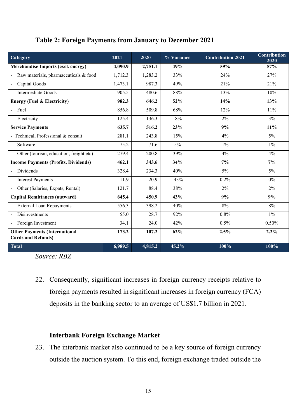#### **Table 2: Foreign Payments from January to December 2021**

| Category                                                          | 2021    | 2020    | % Variance | <b>Contribution 2021</b> | <b>Contribution</b><br>2020 |
|-------------------------------------------------------------------|---------|---------|------------|--------------------------|-----------------------------|
| <b>Merchandise Imports (excl. energy)</b>                         | 4,090.9 | 2,751.1 | 49%        | 59%                      | 57%                         |
| Raw materials, pharmaceuticals & food                             | 1,712.3 | 1,283.2 | 33%        | 24%                      | 27%                         |
| Capital Goods                                                     | 1,473.1 | 987.3   | 49%        | 21%                      | 21%                         |
| Intermediate Goods                                                | 905.5   | 480.6   | 88%        | 13%                      | 10%                         |
| <b>Energy (Fuel &amp; Electricity)</b>                            | 982.3   | 646.2   | 52%        | 14%                      | 13%                         |
| - Fuel                                                            | 856.8   | 509.8   | 68%        | 12%                      | 11%                         |
| Electricity                                                       | 125.4   | 136.3   | $-8%$      | 2%                       | 3%                          |
| <b>Service Payments</b>                                           | 635.7   | 516.2   | 23%        | 9%                       | 11%                         |
| - Technical, Professional & consult                               | 281.1   | 243.8   | 15%        | 4%                       | 5%                          |
| Software                                                          | 75.2    | 71.6    | $5\%$      | $1\%$                    | $1\%$                       |
| Other (tourism, education, freight etc)                           | 279.4   | 200.8   | 39%        | 4%                       | 4%                          |
| <b>Income Payments (Profits, Dividends)</b>                       | 462.1   | 343.6   | 34%        | $7\%$                    | 7%                          |
| Dividends<br>$\blacksquare$                                       | 328.4   | 234.3   | 40%        | $5\%$                    | 5%                          |
| <b>Interest Payments</b><br>$\blacksquare$                        | 11.9    | 20.9    | $-43%$     | 0.2%                     | $0\%$                       |
| Other (Salaries, Expats, Rental)                                  | 121.7   | 88.4    | 38%        | 2%                       | 2%                          |
| <b>Capital Remittances (outward)</b>                              | 645.4   | 450.9   | 43%        | 9%                       | 9%                          |
| <b>External Loan Repayments</b>                                   | 556.3   | 398.2   | 40%        | 8%                       | 8%                          |
| Disinvestments                                                    | 55.0    | 28.7    | 92%        | 0.8%                     | $1\%$                       |
| Foreign Investment                                                | 34.1    | 24.0    | 42%        | 0.5%                     | 0.50%                       |
| <b>Other Payments (International</b><br><b>Cards and Refunds)</b> | 173.2   | 107.2   | 62%        | 2.5%                     | 2.2%                        |
| <b>Total</b>                                                      | 6,989.5 | 4,815.2 | 45.2%      | 100%                     | 100%                        |

*Source: RBZ*

22. Consequently, significant increases in foreign currency receipts relative to foreign payments resulted in significant increases in foreign currency (FCA) deposits in the banking sector to an average of US\$1.7 billion in 2021.

#### **Interbank Foreign Exchange Market**

23. The interbank market also continued to be a key source of foreign currency outside the auction system. To this end, foreign exchange traded outside the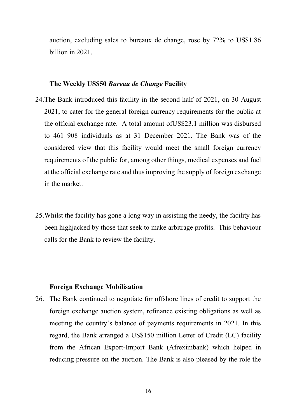auction, excluding sales to bureaux de change, rose by 72% to US\$1.86 billion in 2021.

#### **The Weekly US\$50** *Bureau de Change* **Facility**

- 24.The Bank introduced this facility in the second half of 2021, on 30 August 2021, to cater for the general foreign currency requirements for the public at the official exchange rate. A total amount ofUS\$23.1 million was disbursed to 461 908 individuals as at 31 December 2021. The Bank was of the considered view that this facility would meet the small foreign currency requirements of the public for, among other things, medical expenses and fuel at the official exchange rate and thus improving the supply of foreign exchange in the market.
- 25.Whilst the facility has gone a long way in assisting the needy, the facility has been highjacked by those that seek to make arbitrage profits. This behaviour calls for the Bank to review the facility.

#### **Foreign Exchange Mobilisation**

26. The Bank continued to negotiate for offshore lines of credit to support the foreign exchange auction system, refinance existing obligations as well as meeting the country's balance of payments requirements in 2021. In this regard, the Bank arranged a US\$150 million Letter of Credit (LC) facility from the African Export-Import Bank (Afreximbank) which helped in reducing pressure on the auction. The Bank is also pleased by the role the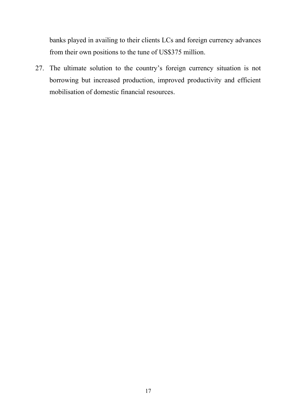banks played in availing to their clients LCs and foreign currency advances from their own positions to the tune of US\$375 million.

27. The ultimate solution to the country's foreign currency situation is not borrowing but increased production, improved productivity and efficient mobilisation of domestic financial resources.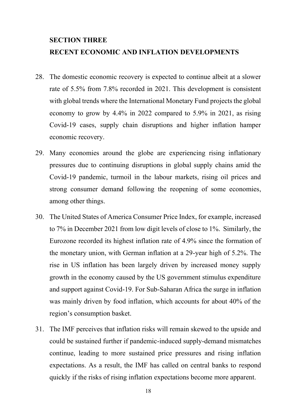# **SECTION THREE RECENT ECONOMIC AND INFLATION DEVELOPMENTS**

- 28. The domestic economic recovery is expected to continue albeit at a slower rate of 5.5% from 7.8% recorded in 2021. This development is consistent with global trends where the International Monetary Fund projects the global economy to grow by 4.4% in 2022 compared to 5.9% in 2021, as rising Covid-19 cases, supply chain disruptions and higher inflation hamper economic recovery.
- 29. Many economies around the globe are experiencing rising inflationary pressures due to continuing disruptions in global supply chains amid the Covid-19 pandemic, turmoil in the labour markets, rising oil prices and strong consumer demand following the reopening of some economies, among other things.
- 30. The United States of America Consumer Price Index, for example, increased to 7% in December 2021 from low digit levels of close to 1%. Similarly, the Eurozone recorded its highest inflation rate of 4.9% since the formation of the monetary union, with German inflation at a 29-year high of 5.2%. The rise in US inflation has been largely driven by increased money supply growth in the economy caused by the US government stimulus expenditure and support against Covid-19. For Sub-Saharan Africa the surge in inflation was mainly driven by food inflation, which accounts for about 40% of the region's consumption basket.
- 31. The IMF perceives that inflation risks will remain skewed to the upside and could be sustained further if pandemic-induced supply-demand mismatches continue, leading to more sustained price pressures and rising inflation expectations. As a result, the IMF has called on central banks to respond quickly if the risks of rising inflation expectations become more apparent.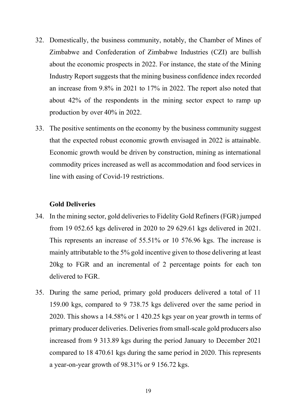- 32. Domestically, the business community, notably, the Chamber of Mines of Zimbabwe and Confederation of Zimbabwe Industries (CZI) are bullish about the economic prospects in 2022. For instance, the state of the Mining Industry Report suggests that the mining business confidence index recorded an increase from 9.8% in 2021 to 17% in 2022. The report also noted that about 42% of the respondents in the mining sector expect to ramp up production by over 40% in 2022.
- 33. The positive sentiments on the economy by the business community suggest that the expected robust economic growth envisaged in 2022 is attainable. Economic growth would be driven by construction, mining as international commodity prices increased as well as accommodation and food services in line with easing of Covid-19 restrictions.

#### **Gold Deliveries**

- 34. In the mining sector, gold deliveries to Fidelity Gold Refiners (FGR) jumped from 19 052.65 kgs delivered in 2020 to 29 629.61 kgs delivered in 2021. This represents an increase of 55.51% or 10 576.96 kgs. The increase is mainly attributable to the 5% gold incentive given to those delivering at least 20kg to FGR and an incremental of 2 percentage points for each ton delivered to FGR.
- 35. During the same period, primary gold producers delivered a total of 11 159.00 kgs, compared to 9 738.75 kgs delivered over the same period in 2020. This shows a 14.58% or 1 420.25 kgs year on year growth in terms of primary producer deliveries. Deliveries from small-scale gold producers also increased from 9 313.89 kgs during the period January to December 2021 compared to 18 470.61 kgs during the same period in 2020. This represents a year-on-year growth of 98.31% or 9 156.72 kgs.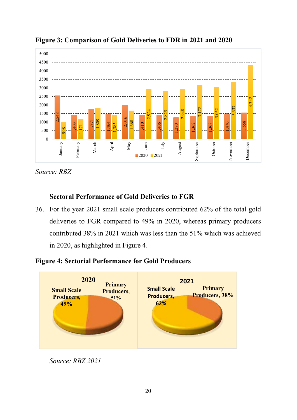

**Figure 3: Comparison of Gold Deliveries to FDR in 2021 and 2020**

*Source: RBZ*

### **Sectoral Performance of Gold Deliveries to FGR**

36. For the year 2021 small scale producers contributed 62% of the total gold deliveries to FGR compared to 49% in 2020, whereas primary producers contributed 38% in 2021 which was less than the 51% which was achieved in 2020, as highlighted in Figure 4.

### **Figure 4: Sectorial Performance for Gold Producers**

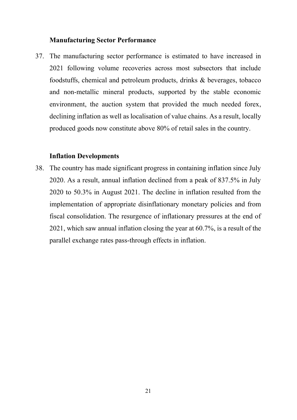#### **Manufacturing Sector Performance**

37. The manufacturing sector performance is estimated to have increased in 2021 following volume recoveries across most subsectors that include foodstuffs, chemical and petroleum products, drinks & beverages, tobacco and non-metallic mineral products, supported by the stable economic environment, the auction system that provided the much needed forex, declining inflation as well as localisation of value chains. As a result, locally produced goods now constitute above 80% of retail sales in the country.

#### **Inflation Developments**

38. The country has made significant progress in containing inflation since July 2020. As a result, annual inflation declined from a peak of 837.5% in July 2020 to 50.3% in August 2021. The decline in inflation resulted from the implementation of appropriate disinflationary monetary policies and from fiscal consolidation. The resurgence of inflationary pressures at the end of 2021, which saw annual inflation closing the year at 60.7%, is a result of the parallel exchange rates pass-through effects in inflation.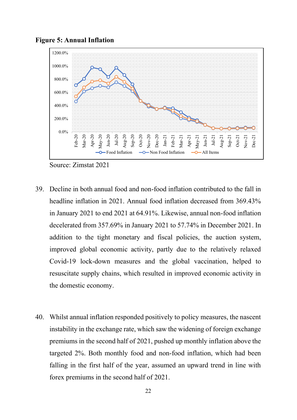



Source: Zimstat 2021

- 39. Decline in both annual food and non-food inflation contributed to the fall in headline inflation in 2021. Annual food inflation decreased from 369.43% in January 2021 to end 2021 at 64.91%. Likewise, annual non-food inflation decelerated from 357.69% in January 2021 to 57.74% in December 2021. In addition to the tight monetary and fiscal policies, the auction system, improved global economic activity, partly due to the relatively relaxed Covid-19 lock-down measures and the global vaccination, helped to resuscitate supply chains, which resulted in improved economic activity in the domestic economy.
- 40. Whilst annual inflation responded positively to policy measures, the nascent instability in the exchange rate, which saw the widening of foreign exchange premiums in the second half of 2021, pushed up monthly inflation above the targeted 2%. Both monthly food and non-food inflation, which had been falling in the first half of the year, assumed an upward trend in line with forex premiums in the second half of 2021.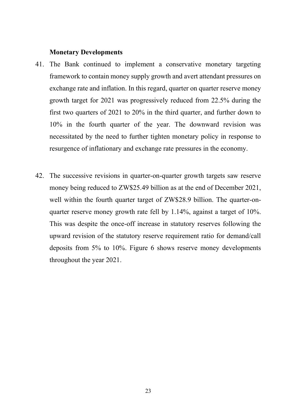#### **Monetary Developments**

- 41. The Bank continued to implement a conservative monetary targeting framework to contain money supply growth and avert attendant pressures on exchange rate and inflation. In this regard, quarter on quarter reserve money growth target for 2021 was progressively reduced from 22.5% during the first two quarters of 2021 to 20% in the third quarter, and further down to 10% in the fourth quarter of the year. The downward revision was necessitated by the need to further tighten monetary policy in response to resurgence of inflationary and exchange rate pressures in the economy.
- 42. The successive revisions in quarter-on-quarter growth targets saw reserve money being reduced to ZW\$25.49 billion as at the end of December 2021, well within the fourth quarter target of ZW\$28.9 billion. The quarter-onquarter reserve money growth rate fell by 1.14%, against a target of 10%. This was despite the once-off increase in statutory reserves following the upward revision of the statutory reserve requirement ratio for demand/call deposits from 5% to 10%. Figure 6 shows reserve money developments throughout the year 2021.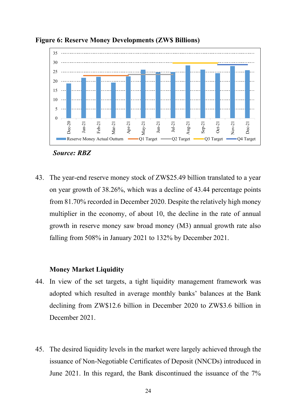

**Figure 6: Reserve Money Developments (ZW\$ Billions)**



43. The year-end reserve money stock of ZW\$25.49 billion translated to a year on year growth of 38.26%, which was a decline of 43.44 percentage points from 81.70% recorded in December 2020. Despite the relatively high money multiplier in the economy, of about 10, the decline in the rate of annual growth in reserve money saw broad money (M3) annual growth rate also falling from 508% in January 2021 to 132% by December 2021.

#### **Money Market Liquidity**

- 44. In view of the set targets, a tight liquidity management framework was adopted which resulted in average monthly banks' balances at the Bank declining from ZW\$12.6 billion in December 2020 to ZW\$3.6 billion in December 2021.
- 45. The desired liquidity levels in the market were largely achieved through the issuance of Non-Negotiable Certificates of Deposit (NNCDs) introduced in June 2021. In this regard, the Bank discontinued the issuance of the 7%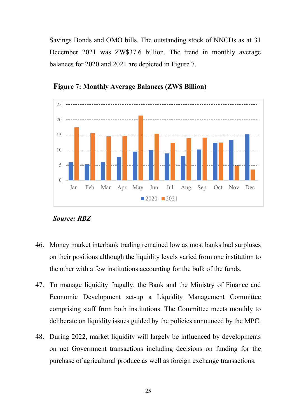Savings Bonds and OMO bills. The outstanding stock of NNCDs as at 31 December 2021 was ZW\$37.6 billion. The trend in monthly average balances for 2020 and 2021 are depicted in Figure 7.



**Figure 7: Monthly Average Balances (ZW\$ Billion)**

- 46. Money market interbank trading remained low as most banks had surpluses on their positions although the liquidity levels varied from one institution to the other with a few institutions accounting for the bulk of the funds.
- 47. To manage liquidity frugally, the Bank and the Ministry of Finance and Economic Development set-up a Liquidity Management Committee comprising staff from both institutions. The Committee meets monthly to deliberate on liquidity issues guided by the policies announced by the MPC.
- 48. During 2022, market liquidity will largely be influenced by developments on net Government transactions including decisions on funding for the purchase of agricultural produce as well as foreign exchange transactions.

*Source: RBZ*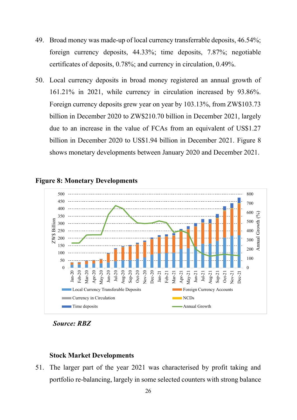- 49. Broad money was made-up of local currency transferrable deposits, 46.54%; foreign currency deposits, 44.33%; time deposits, 7.87%; negotiable certificates of deposits, 0.78%; and currency in circulation, 0.49%.
- 50. Local currency deposits in broad money registered an annual growth of 161.21% in 2021, while currency in circulation increased by 93.86%. Foreign currency deposits grew year on year by 103.13%, from ZW\$103.73 billion in December 2020 to ZW\$210.70 billion in December 2021, largely due to an increase in the value of FCAs from an equivalent of US\$1.27 billion in December 2020 to US\$1.94 billion in December 2021. Figure 8 shows monetary developments between January 2020 and December 2021.



#### **Figure 8: Monetary Developments**

*Source: RBZ*

#### **Stock Market Developments**

51. The larger part of the year 2021 was characterised by profit taking and portfolio re-balancing, largely in some selected counters with strong balance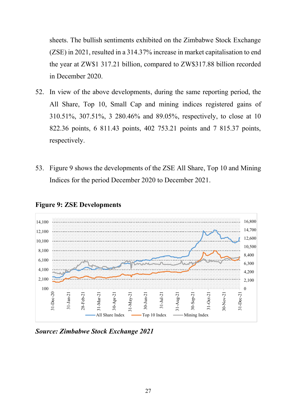sheets. The bullish sentiments exhibited on the Zimbabwe Stock Exchange (ZSE) in 2021, resulted in a 314.37% increase in market capitalisation to end the year at ZW\$1 317.21 billion, compared to ZW\$317.88 billion recorded in December 2020.

- 52. In view of the above developments, during the same reporting period, the All Share, Top 10, Small Cap and mining indices registered gains of 310.51%, 307.51%, 3 280.46% and 89.05%, respectively, to close at 10 822.36 points, 6 811.43 points, 402 753.21 points and 7 815.37 points, respectively.
- 53. Figure 9 shows the developments of the ZSE All Share, Top 10 and Mining Indices for the period December 2020 to December 2021.



#### **Figure 9: ZSE Developments**

*Source: Zimbabwe Stock Exchange 2021*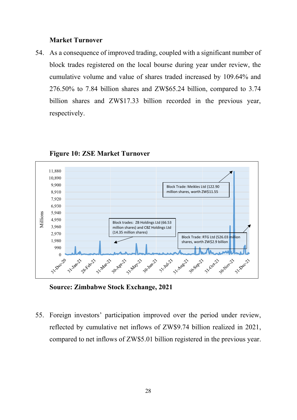#### **Market Turnover**

54. As a consequence of improved trading, coupled with a significant number of block trades registered on the local bourse during year under review, the cumulative volume and value of shares traded increased by 109.64% and 276.50% to 7.84 billion shares and ZW\$65.24 billion, compared to 3.74 billion shares and ZW\$17.33 billion recorded in the previous year, respectively.



#### **Figure 10: ZSE Market Turnover**

**Source: Zimbabwe Stock Exchange, 2021**

55. Foreign investors' participation improved over the period under review, reflected by cumulative net inflows of ZW\$9.74 billion realized in 2021, compared to net inflows of ZW\$5.01 billion registered in the previous year.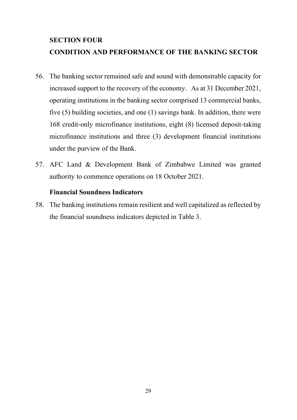# **SECTION FOUR CONDITION AND PERFORMANCE OF THE BANKING SECTOR**

- 56. The banking sector remained safe and sound with demonstrable capacity for increased support to the recovery of the economy. As at 31 December 2021, operating institutions in the banking sector comprised 13 commercial banks, five (5) building societies, and one (1) savings bank. In addition, there were 168 credit-only microfinance institutions, eight (8) licensed deposit-taking microfinance institutions and three (3) development financial institutions under the purview of the Bank.
- 57. AFC Land & Development Bank of Zimbabwe Limited was granted authority to commence operations on 18 October 2021.

#### **Financial Soundness Indicators**

58. The banking institutions remain resilient and well capitalized as reflected by the financial soundness indicators depicted in Table 3.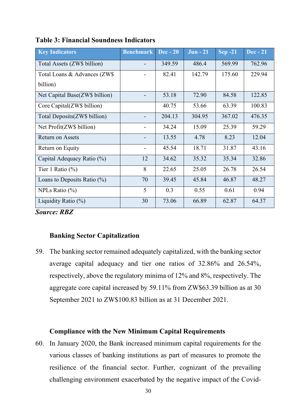| <b>Key Indicators</b>          | <b>Benchmark</b>         | <b>Dec</b> - 20 | <b>Jun - 21</b> | $Sep-21$ | <b>Dec</b> - 21 |
|--------------------------------|--------------------------|-----------------|-----------------|----------|-----------------|
| Total Assets (ZW\$ billion)    |                          | 349.59          | 486.4           | 569.99   | 762.96          |
| Total Loans & Advances (ZW\$)  |                          | 82.41           | 142.79          | 175.60   | 229.94          |
| billion)                       |                          |                 |                 |          |                 |
| Net Capital Base(ZW\$ billion) |                          | 53.18           | 72.90           | 84.58    | 122.85          |
| Core Capital(ZW\$ billion)     |                          | 40.75           | 53.66           | 63.39    | 100.83          |
| Total Deposits (ZW\$ billion)  |                          | 204.13          | 304.95          | 367.02   | 476.35          |
| Net Profit(ZW\$ billion)       |                          | 34.24           | 15.09           | 25.39    | 59.29           |
| <b>Return on Assets</b>        | $\overline{\phantom{a}}$ | 13.55           | 4.78            | 8.23     | 12.04           |
| Return on Equity               |                          | 45.54           | 18.71           | 31.87    | 43.16           |
| Capital Adequacy Ratio (%)     | 12                       | 34.62           | 35.32           | 35.34    | 32.86           |
| Tier 1 Ratio $(\%)$            | 8                        | 22.65           | 25.05           | 26.78    | 26.54           |
| Loans to Deposits Ratio $(\%)$ | 70                       | 39.45           | 45.84           | 46.87    | 48.27           |
| NPLs Ratio $(\% )$             | 5                        | 0.3             | 0.55            | 0.61     | 0.94            |
| Liquidity Ratio (%)            | 30                       | 73.06           | 66.89           | 62.87    | 64.37           |

**Table 3: Financial Soundness Indicators**

*Source: RBZ*

#### **Banking Sector Capitalization**

59. The banking sector remained adequately capitalized, with the banking sector average capital adequacy and tier one ratios of 32.86% and 26.54%, respectively, above the regulatory minima of 12% and 8%, respectively. The aggregate core capital increased by 59.11% from ZW\$63.39 billion as at 30 September 2021 to ZW\$100.83 billion as at 31 December 2021.

### **Compliance with the New Minimum Capital Requirements**

60. In January 2020, the Bank increased minimum capital requirements for the various classes of banking institutions as part of measures to promote the resilience of the financial sector. Further, cognizant of the prevailing challenging environment exacerbated by the negative impact of the Covid-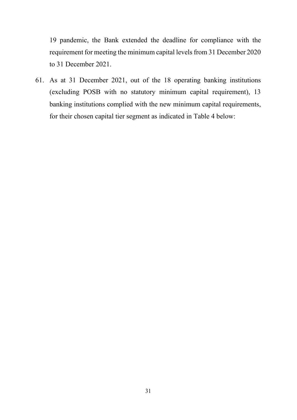19 pandemic, the Bank extended the deadline for compliance with the requirement for meeting the minimum capital levels from 31 December 2020 to 31 December 2021.

61. As at 31 December 2021, out of the 18 operating banking institutions (excluding POSB with no statutory minimum capital requirement), 13 banking institutions complied with the new minimum capital requirements, for their chosen capital tier segment as indicated in Table 4 below: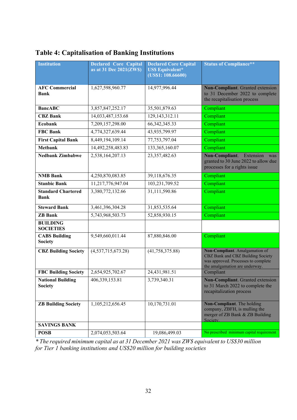| <b>Institution</b>                         | <b>Declared Core Capital</b><br>as at 31 Dec 2021(ZW\$) | <b>Declared Core Capital</b><br><b>US\$ Equivalent*</b><br>(US\$1: 108.66600) | <b>Status of Compliance**</b>                                                                                                                |
|--------------------------------------------|---------------------------------------------------------|-------------------------------------------------------------------------------|----------------------------------------------------------------------------------------------------------------------------------------------|
| <b>AFC Commercial</b><br>Bank              | 1,627,598,960.77                                        | 14,977,996.44                                                                 | Non-Compliant. Granted extension<br>to 31 December 2022 to complete<br>the recapitalisation process                                          |
| <b>BancABC</b>                             | 3,857,847,252.17                                        | 35,501,879.63                                                                 | Compliant                                                                                                                                    |
| <b>CBZ</b> Bank                            | 14,033,487,153.68                                       | 129, 143, 312. 11                                                             | Compliant                                                                                                                                    |
| <b>Ecobank</b>                             | 7,209,157,298.00                                        | 66, 342, 345. 33                                                              | Compliant                                                                                                                                    |
| <b>FBC Bank</b>                            | 4,774,327,639.44                                        | 43,935,799.97                                                                 | Compliant                                                                                                                                    |
| <b>First Capital Bank</b>                  | 8,449,194,109.14                                        | 77,753,797.04                                                                 | Compliant                                                                                                                                    |
| <b>Metbank</b>                             | 14,492,258,483.83                                       | 133,365,160.07                                                                | Compliant                                                                                                                                    |
| <b>Nedbank Zimbabwe</b>                    | 2,538,164,207.13                                        | 23, 357, 482. 63                                                              | Non-Compliant. Extension<br>was<br>granted to 30 June 2022 to allow due<br>processes for a rights issue                                      |
| <b>NMB</b> Bank                            | 4,250,870,083.85                                        | 39,118,676.35                                                                 | Compliant                                                                                                                                    |
| <b>Stanbic Bank</b>                        | 11,217,776,947.04                                       | 103,231,709.52                                                                | Compliant                                                                                                                                    |
| <b>Standard Chartered</b><br><b>Bank</b>   | 3,380,772,132.66                                        | 31,111,590.86                                                                 | Compliant                                                                                                                                    |
| <b>Steward Bank</b>                        | 3,461,396,304.28                                        | 31,853,535.64                                                                 | Compliant                                                                                                                                    |
| <b>ZB</b> Bank                             | 5,743,968,503.73                                        | 52,858,930.15                                                                 | Compliant                                                                                                                                    |
| <b>BUILDING</b><br><b>SOCIETIES</b>        |                                                         |                                                                               |                                                                                                                                              |
| <b>CABS Building</b><br><b>Society</b>     | 9,549,660,011.44                                        | 87,880,846.00                                                                 | Compliant                                                                                                                                    |
| <b>CBZ Building Society</b>                | (4,537,715,673.28)                                      | (41,758,375.88)                                                               | Non-Compliant. Amalgamation of<br>CBZ Bank and CBZ Building Society<br>was approved. Processes to complete<br>the amalgamation are underway. |
| <b>FBC Building Society</b>                | 2,654,925,702.67                                        | 24,431,981.51                                                                 | Compliant                                                                                                                                    |
| <b>National Building</b><br><b>Society</b> | 406,339,153.81                                          | 3,739,340.31                                                                  | Non-Compliant. Granted extension<br>to 31 March 2022 to complete the<br>recapitalization process                                             |
| <b>ZB Building Society</b>                 | 1,105,212,656.45                                        | 10,170,731.01                                                                 | Non-Compliant. The holding<br>company, ZBFH, is mulling the<br>merger of ZB Bank & ZB Building<br>Society.                                   |
| <b>SAVINGS BANK</b>                        |                                                         |                                                                               |                                                                                                                                              |
| <b>POSB</b>                                | 2,074,053,503.64                                        | 19,086,499.03                                                                 | No prescribed minimum capital requirement                                                                                                    |

### **Table 4: Capitalisation of Banking Institutions**

*\* The required minimum capital as at 31 December 2021 was ZW\$ equivalent to US\$30 million for Tier 1 banking institutions and US\$20 million for building societies*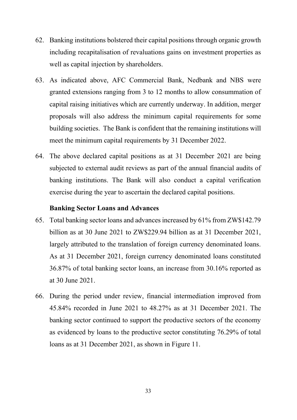- 62. Banking institutions bolstered their capital positions through organic growth including recapitalisation of revaluations gains on investment properties as well as capital injection by shareholders.
- 63. As indicated above, AFC Commercial Bank, Nedbank and NBS were granted extensions ranging from 3 to 12 months to allow consummation of capital raising initiatives which are currently underway. In addition, merger proposals will also address the minimum capital requirements for some building societies. The Bank is confident that the remaining institutions will meet the minimum capital requirements by 31 December 2022.
- 64. The above declared capital positions as at 31 December 2021 are being subjected to external audit reviews as part of the annual financial audits of banking institutions. The Bank will also conduct a capital verification exercise during the year to ascertain the declared capital positions.

#### **Banking Sector Loans and Advances**

- 65. Total banking sector loans and advances increased by 61% from ZW\$142.79 billion as at 30 June 2021 to ZW\$229.94 billion as at 31 December 2021, largely attributed to the translation of foreign currency denominated loans. As at 31 December 2021, foreign currency denominated loans constituted 36.87% of total banking sector loans, an increase from 30.16% reported as at 30 June 2021.
- 66. During the period under review, financial intermediation improved from 45.84% recorded in June 2021 to 48.27% as at 31 December 2021. The banking sector continued to support the productive sectors of the economy as evidenced by loans to the productive sector constituting 76.29% of total loans as at 31 December 2021, as shown in Figure 11.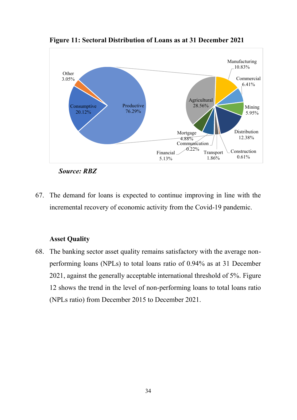

**Figure 11: Sectoral Distribution of Loans as at 31 December 2021**

*Source: RBZ*

67. The demand for loans is expected to continue improving in line with the incremental recovery of economic activity from the Covid-19 pandemic.

#### **Asset Quality**

68. The banking sector asset quality remains satisfactory with the average nonperforming loans (NPLs) to total loans ratio of 0.94% as at 31 December 2021, against the generally acceptable international threshold of 5%. Figure 12 shows the trend in the level of non-performing loans to total loans ratio (NPLs ratio) from December 2015 to December 2021.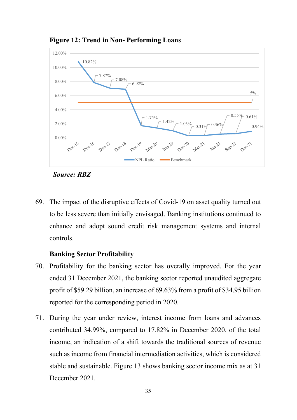

**Figure 12: Trend in Non- Performing Loans**

*Source: RBZ*

69. The impact of the disruptive effects of Covid-19 on asset quality turned out to be less severe than initially envisaged. Banking institutions continued to enhance and adopt sound credit risk management systems and internal controls.

#### **Banking Sector Profitability**

- 70. Profitability for the banking sector has overally improved. For the year ended 31 December 2021, the banking sector reported unaudited aggregate profit of \$59.29 billion, an increase of 69.63% from a profit of \$34.95 billion reported for the corresponding period in 2020.
- 71. During the year under review, interest income from loans and advances contributed 34.99%, compared to 17.82% in December 2020, of the total income, an indication of a shift towards the traditional sources of revenue such as income from financial intermediation activities, which is considered stable and sustainable. Figure 13 shows banking sector income mix as at 31 December 2021.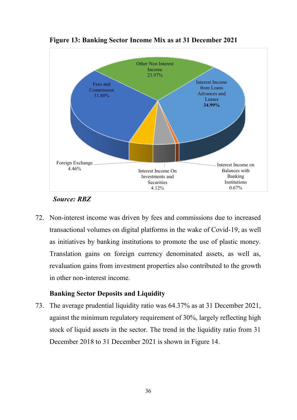

**Figure 13: Banking Sector Income Mix as at 31 December 2021**

#### *Source: RBZ*

72. Non-interest income was driven by fees and commissions due to increased transactional volumes on digital platforms in the wake of Covid-19, as well as initiatives by banking institutions to promote the use of plastic money. Translation gains on foreign currency denominated assets, as well as, revaluation gains from investment properties also contributed to the growth in other non-interest income.

#### **Banking Sector Deposits and Liquidity**

73. The average prudential liquidity ratio was 64.37% as at 31 December 2021, against the minimum regulatory requirement of 30%, largely reflecting high stock of liquid assets in the sector. The trend in the liquidity ratio from 31 December 2018 to 31 December 2021 is shown in Figure 14.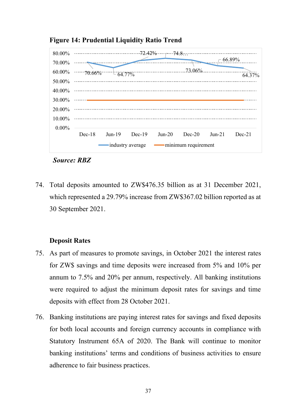

**Figure 14: Prudential Liquidity Ratio Trend** 

*Source: RBZ*

74. Total deposits amounted to ZW\$476.35 billion as at 31 December 2021, which represented a 29.79% increase from ZW\$367.02 billion reported as at 30 September 2021.

#### **Deposit Rates**

- 75. As part of measures to promote savings, in October 2021 the interest rates for ZW\$ savings and time deposits were increased from 5% and 10% per annum to 7.5% and 20% per annum, respectively. All banking institutions were required to adjust the minimum deposit rates for savings and time deposits with effect from 28 October 2021.
- 76. Banking institutions are paying interest rates for savings and fixed deposits for both local accounts and foreign currency accounts in compliance with Statutory Instrument 65A of 2020. The Bank will continue to monitor banking institutions' terms and conditions of business activities to ensure adherence to fair business practices.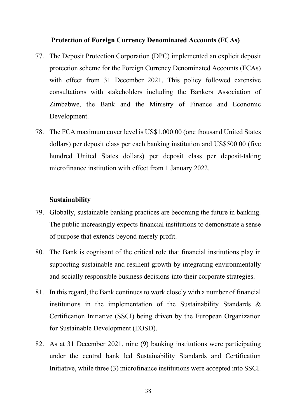#### **Protection of Foreign Currency Denominated Accounts (FCAs)**

- 77. The Deposit Protection Corporation (DPC) implemented an explicit deposit protection scheme for the Foreign Currency Denominated Accounts (FCAs) with effect from 31 December 2021. This policy followed extensive consultations with stakeholders including the Bankers Association of Zimbabwe, the Bank and the Ministry of Finance and Economic Development.
- 78. The FCA maximum cover level is US\$1,000.00 (one thousand United States dollars) per deposit class per each banking institution and US\$500.00 (five hundred United States dollars) per deposit class per deposit-taking microfinance institution with effect from 1 January 2022.

#### **Sustainability**

- 79. Globally, sustainable banking practices are becoming the future in banking. The public increasingly expects financial institutions to demonstrate a sense of purpose that extends beyond merely profit.
- 80. The Bank is cognisant of the critical role that financial institutions play in supporting sustainable and resilient growth by integrating environmentally and socially responsible business decisions into their corporate strategies.
- 81. In this regard, the Bank continues to work closely with a number of financial institutions in the implementation of the Sustainability Standards & Certification Initiative (SSCI) being driven by the European Organization for Sustainable Development (EOSD).
- 82. As at 31 December 2021, nine (9) banking institutions were participating under the central bank led Sustainability Standards and Certification Initiative, while three (3) microfinance institutions were accepted into SSCI.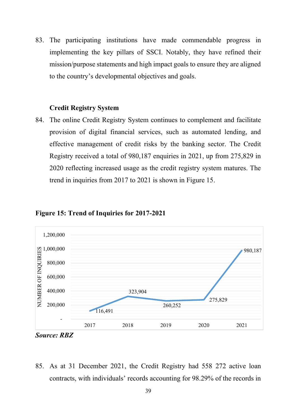83. The participating institutions have made commendable progress in implementing the key pillars of SSCI. Notably, they have refined their mission/purpose statements and high impact goals to ensure they are aligned to the country's developmental objectives and goals.

#### **Credit Registry System**

84. The online Credit Registry System continues to complement and facilitate provision of digital financial services, such as automated lending, and effective management of credit risks by the banking sector. The Credit Registry received a total of 980,187 enquiries in 2021, up from 275,829 in 2020 reflecting increased usage as the credit registry system matures. The trend in inquiries from 2017 to 2021 is shown in Figure 15.



#### **Figure 15: Trend of Inquiries for 2017-2021**

85. As at 31 December 2021, the Credit Registry had 558 272 active loan contracts, with individuals' records accounting for 98.29% of the records in

*Source: RBZ*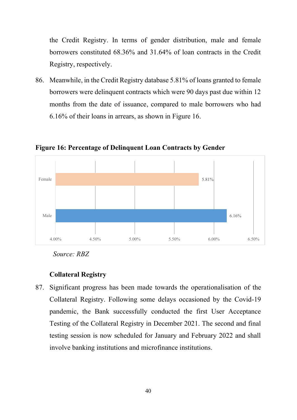the Credit Registry. In terms of gender distribution, male and female borrowers constituted 68.36% and 31.64% of loan contracts in the Credit Registry, respectively.

86. Meanwhile, in the Credit Registry database 5.81% of loans granted to female borrowers were delinquent contracts which were 90 days past due within 12 months from the date of issuance, compared to male borrowers who had 6.16% of their loans in arrears, as shown in Figure 16.



**Figure 16: Percentage of Delinquent Loan Contracts by Gender**

*Source: RBZ*

#### **Collateral Registry**

87. Significant progress has been made towards the operationalisation of the Collateral Registry. Following some delays occasioned by the Covid-19 pandemic, the Bank successfully conducted the first User Acceptance Testing of the Collateral Registry in December 2021. The second and final testing session is now scheduled for January and February 2022 and shall involve banking institutions and microfinance institutions.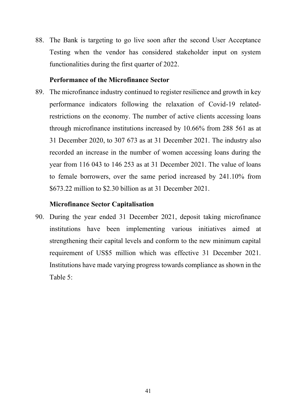88. The Bank is targeting to go live soon after the second User Acceptance Testing when the vendor has considered stakeholder input on system functionalities during the first quarter of 2022.

#### **Performance of the Microfinance Sector**

89. The microfinance industry continued to register resilience and growth in key performance indicators following the relaxation of Covid-19 relatedrestrictions on the economy. The number of active clients accessing loans through microfinance institutions increased by 10.66% from 288 561 as at 31 December 2020, to 307 673 as at 31 December 2021. The industry also recorded an increase in the number of women accessing loans during the year from 116 043 to 146 253 as at 31 December 2021. The value of loans to female borrowers, over the same period increased by 241.10% from \$673.22 million to \$2.30 billion as at 31 December 2021.

#### **Microfinance Sector Capitalisation**

90. During the year ended 31 December 2021, deposit taking microfinance institutions have been implementing various initiatives aimed at strengthening their capital levels and conform to the new minimum capital requirement of US\$5 million which was effective 31 December 2021. Institutions have made varying progress towards compliance as shown in the Table 5: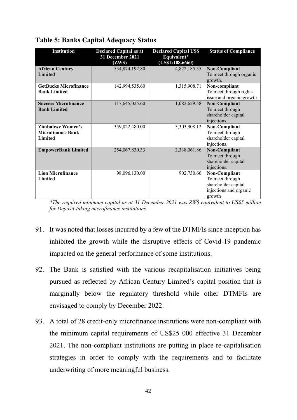| <b>Institution</b>                                             | <b>Declared Capital as at</b><br>31 December 2021<br>(ZWS) | <b>Declared Capital US\$</b><br>Equivalent*<br>$\overline{(USS1:108.6660)}$ | <b>Status of Compliance</b>                                                                 |
|----------------------------------------------------------------|------------------------------------------------------------|-----------------------------------------------------------------------------|---------------------------------------------------------------------------------------------|
| <b>African Century</b><br><b>Limited</b>                       | 534,874,192.80                                             | 4,822,185.35                                                                | Non-Compliant<br>To meet through organic<br>growth.                                         |
| <b>GetBucks Microfinance</b><br><b>Bank Limited</b>            | 142,994,535.60                                             | 1,315,908.71                                                                | Non-compliant<br>To meet through rights<br>issue and organic growth                         |
| <b>Success Microfinance</b><br><b>Bank Limited</b>             | 117,645,025.60                                             | 1,082,629.58                                                                | Non-Compliant<br>To meet through<br>shareholder capital<br>injections.                      |
| <b>Zimbabwe Women's</b><br><b>Microfinance Bank</b><br>Limited | 359,022,480.00                                             | 3,303,908.12                                                                | Non-Compliant<br>To meet through<br>shareholder capital<br>injections.                      |
| <b>EmpowerBank Limited</b>                                     | 254,067,830.33                                             | 2,338,061.86                                                                | Non-Compliant<br>To meet through<br>shareholder capital<br>injections.                      |
| <b>Lion Microfinance</b><br>Limited                            | 98,096,130.00                                              | 902,730.66                                                                  | Non-Compliant<br>To meet through<br>shareholder capital<br>injections and organic<br>growth |

#### **Table 5: Banks Capital Adequacy Status**

*\*The required minimum capital as at 31 December 2021 was ZW\$ equivalent to US\$5 million for Deposit-taking microfinance institutions.*

- 91. It was noted that losses incurred by a few of the DTMFIs since inception has inhibited the growth while the disruptive effects of Covid-19 pandemic impacted on the general performance of some institutions.
- 92. The Bank is satisfied with the various recapitalisation initiatives being pursued as reflected by African Century Limited's capital position that is marginally below the regulatory threshold while other DTMFIs are envisaged to comply by December 2022.
- 93. A total of 28 credit-only microfinance institutions were non-compliant with the minimum capital requirements of US\$25 000 effective 31 December 2021. The non-compliant institutions are putting in place re-capitalisation strategies in order to comply with the requirements and to facilitate underwriting of more meaningful business.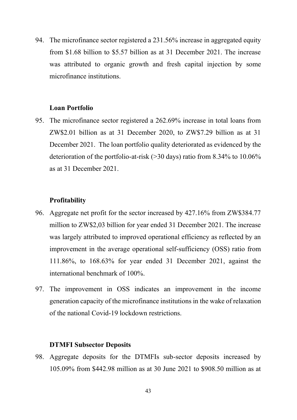94. The microfinance sector registered a 231.56% increase in aggregated equity from \$1.68 billion to \$5.57 billion as at 31 December 2021. The increase was attributed to organic growth and fresh capital injection by some microfinance institutions.

#### **Loan Portfolio**

95. The microfinance sector registered a 262.69% increase in total loans from ZW\$2.01 billion as at 31 December 2020, to ZW\$7.29 billion as at 31 December 2021. The loan portfolio quality deteriorated as evidenced by the deterioration of the portfolio-at-risk (>30 days) ratio from 8.34% to 10.06% as at 31 December 2021.

#### **Profitability**

- 96. Aggregate net profit for the sector increased by 427.16% from ZW\$384.77 million to ZW\$2,03 billion for year ended 31 December 2021. The increase was largely attributed to improved operational efficiency as reflected by an improvement in the average operational self-sufficiency (OSS) ratio from 111.86%, to 168.63% for year ended 31 December 2021, against the international benchmark of 100%.
- 97. The improvement in OSS indicates an improvement in the income generation capacity of the microfinance institutions in the wake of relaxation of the national Covid-19 lockdown restrictions.

#### **DTMFI Subsector Deposits**

98. Aggregate deposits for the DTMFIs sub-sector deposits increased by 105.09% from \$442.98 million as at 30 June 2021 to \$908.50 million as at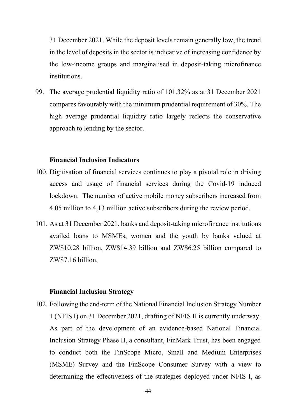31 December 2021. While the deposit levels remain generally low, the trend in the level of deposits in the sector is indicative of increasing confidence by the low-income groups and marginalised in deposit-taking microfinance institutions.

99. The average prudential liquidity ratio of 101.32% as at 31 December 2021 compares favourably with the minimum prudential requirement of 30%. The high average prudential liquidity ratio largely reflects the conservative approach to lending by the sector.

#### **Financial Inclusion Indicators**

- 100. Digitisation of financial services continues to play a pivotal role in driving access and usage of financial services during the Covid-19 induced lockdown. The number of active mobile money subscribers increased from 4.05 million to 4,13 million active subscribers during the review period.
- 101. As at 31 December 2021, banks and deposit-taking microfinance institutions availed loans to MSMEs, women and the youth by banks valued at ZW\$10.28 billion, ZW\$14.39 billion and ZW\$6.25 billion compared to ZW\$7.16 billion,

#### **Financial Inclusion Strategy**

102. Following the end-term of the National Financial Inclusion Strategy Number 1 (NFIS I) on 31 December 2021, drafting of NFIS II is currently underway. As part of the development of an evidence-based National Financial Inclusion Strategy Phase II, a consultant, FinMark Trust, has been engaged to conduct both the FinScope Micro, Small and Medium Enterprises (MSME) Survey and the FinScope Consumer Survey with a view to determining the effectiveness of the strategies deployed under NFIS I, as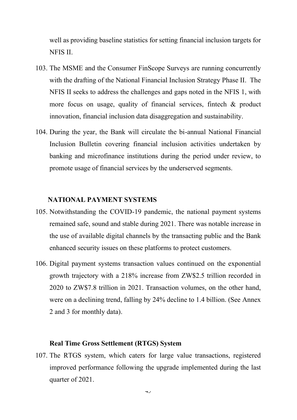well as providing baseline statistics for setting financial inclusion targets for NFIS II.

- 103. The MSME and the Consumer FinScope Surveys are running concurrently with the drafting of the National Financial Inclusion Strategy Phase II. The NFIS II seeks to address the challenges and gaps noted in the NFIS 1, with more focus on usage, quality of financial services, fintech & product innovation, financial inclusion data disaggregation and sustainability.
- 104. During the year, the Bank will circulate the bi-annual National Financial Inclusion Bulletin covering financial inclusion activities undertaken by banking and microfinance institutions during the period under review, to promote usage of financial services by the underserved segments.

#### **NATIONAL PAYMENT SYSTEMS**

- 105. Notwithstanding the COVID-19 pandemic, the national payment systems remained safe, sound and stable during 2021. There was notable increase in the use of available digital channels by the transacting public and the Bank enhanced security issues on these platforms to protect customers.
- 106. Digital payment systems transaction values continued on the exponential growth trajectory with a 218% increase from ZW\$2.5 trillion recorded in 2020 to ZW\$7.8 trillion in 2021. Transaction volumes, on the other hand, were on a declining trend, falling by 24% decline to 1.4 billion. (See Annex 2 and 3 for monthly data).

#### **Real Time Gross Settlement (RTGS) System**

107. The RTGS system, which caters for large value transactions, registered improved performance following the upgrade implemented during the last quarter of 2021.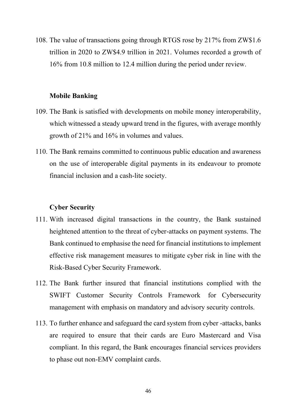108. The value of transactions going through RTGS rose by 217% from ZW\$1.6 trillion in 2020 to ZW\$4.9 trillion in 2021. Volumes recorded a growth of 16% from 10.8 million to 12.4 million during the period under review.

#### **Mobile Banking**

- 109. The Bank is satisfied with developments on mobile money interoperability, which witnessed a steady upward trend in the figures, with average monthly growth of 21% and 16% in volumes and values.
- 110. The Bank remains committed to continuous public education and awareness on the use of interoperable digital payments in its endeavour to promote financial inclusion and a cash-lite society.

#### **Cyber Security**

- 111. With increased digital transactions in the country, the Bank sustained heightened attention to the threat of cyber-attacks on payment systems. The Bank continued to emphasise the need for financial institutions to implement effective risk management measures to mitigate cyber risk in line with the Risk-Based Cyber Security Framework.
- 112. The Bank further insured that financial institutions complied with the SWIFT Customer Security Controls Framework for Cybersecurity management with emphasis on mandatory and advisory security controls.
- 113. To further enhance and safeguard the card system from cyber -attacks, banks are required to ensure that their cards are Euro Mastercard and Visa compliant. In this regard, the Bank encourages financial services providers to phase out non-EMV complaint cards.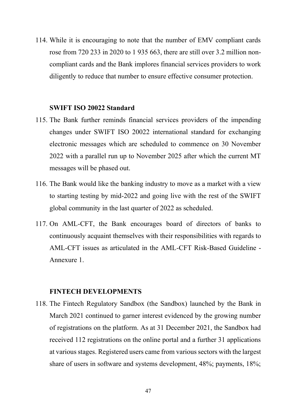114. While it is encouraging to note that the number of EMV compliant cards rose from 720 233 in 2020 to 1 935 663, there are still over 3.2 million noncompliant cards and the Bank implores financial services providers to work diligently to reduce that number to ensure effective consumer protection.

#### **SWIFT ISO 20022 Standard**

- 115. The Bank further reminds financial services providers of the impending changes under SWIFT ISO 20022 international standard for exchanging electronic messages which are scheduled to commence on 30 November 2022 with a parallel run up to November 2025 after which the current MT messages will be phased out.
- 116. The Bank would like the banking industry to move as a market with a view to starting testing by mid-2022 and going live with the rest of the SWIFT global community in the last quarter of 2022 as scheduled.
- 117. On AML-CFT, the Bank encourages board of directors of banks to continuously acquaint themselves with their responsibilities with regards to AML-CFT issues as articulated in the AML-CFT Risk-Based Guideline - Annexure 1.

#### **FINTECH DEVELOPMENTS**

118. The Fintech Regulatory Sandbox (the Sandbox) launched by the Bank in March 2021 continued to garner interest evidenced by the growing number of registrations on the platform. As at 31 December 2021, the Sandbox had received 112 registrations on the online portal and a further 31 applications at various stages. Registered users came from various sectors with the largest share of users in software and systems development, 48%; payments, 18%;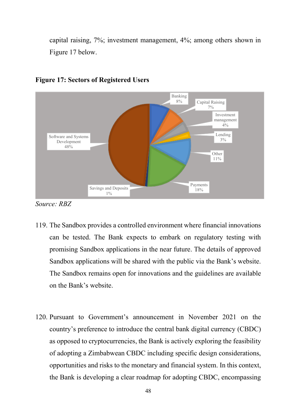capital raising, 7%; investment management, 4%; among others shown in Figure 17 below.



#### **Figure 17: Sectors of Registered Users**

*Source: RBZ*

- 119. The Sandbox provides a controlled environment where financial innovations can be tested. The Bank expects to embark on regulatory testing with promising Sandbox applications in the near future. The details of approved Sandbox applications will be shared with the public via the Bank's website. The Sandbox remains open for innovations and the guidelines are available on the Bank's website.
- 120. Pursuant to Government's announcement in November 2021 on the country's preference to introduce the central bank digital currency (CBDC) as opposed to cryptocurrencies, the Bank is actively exploring the feasibility of adopting a Zimbabwean CBDC including specific design considerations, opportunities and risks to the monetary and financial system. In this context, the Bank is developing a clear roadmap for adopting CBDC, encompassing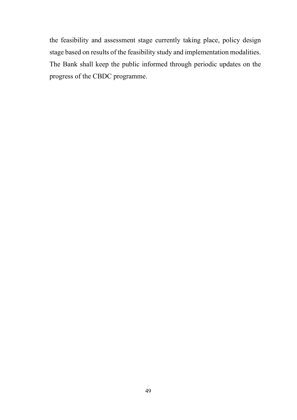the feasibility and assessment stage currently taking place, policy design stage based on results of the feasibility study and implementation modalities. The Bank shall keep the public informed through periodic updates on the progress of the CBDC programme.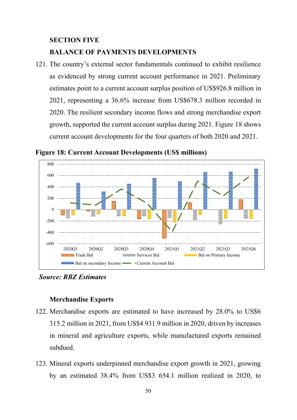#### **SECTION FIVE**

#### **BALANCE OF PAYMENTS DEVELOPMENTS**

121. The country's external sector fundamentals continued to exhibit resilience as evidenced by strong current account performance in 2021. Preliminary estimates point to a current account surplus position of US\$926.8 million in 2021, representing a 36.6% increase from US\$678.3 million recorded in 2020. The resilient secondary income flows and strong merchandise export growth, supported the current account surplus during 2021. Figure 18 shows current account developments for the four quarters of both 2020 and 2021.

**Figure 18: Current Account Developments (US\$ millions)**



*Source: RBZ Estimates* 

#### **Merchandise Exports**

- 122. Merchandise exports are estimated to have increased by 28.0% to US\$6 315.2 million in 2021, from US\$4 931.9 million in 2020, driven by increases in mineral and agriculture exports, while manufactured exports remained subdued.
- 123. Mineral exports underpinned merchandise export growth in 2021, growing by an estimated 38.4% from US\$3 654.1 million realized in 2020, to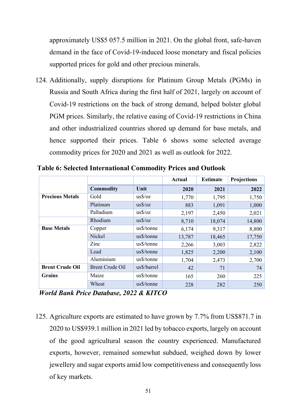approximately US\$5 057.5 million in 2021. On the global front, safe-haven demand in the face of Covid-19-induced loose monetary and fiscal policies supported prices for gold and other precious minerals.

124. Additionally, supply disruptions for Platinum Group Metals (PGMs) in Russia and South Africa during the first half of 2021, largely on account of Covid-19 restrictions on the back of strong demand, helped bolster global PGM prices. Similarly, the relative easing of Covid-19 restrictions in China and other industrialized countries shored up demand for base metals, and hence supported their prices. Table 6 shows some selected average commodity prices for 2020 and 2021 as well as outlook for 2022.

|                        |                        |                  | Actual | <b>Estimate</b> | <b>Projections</b> |
|------------------------|------------------------|------------------|--------|-----------------|--------------------|
|                        | <b>Commodity</b>       | Unit             | 2020   | 2021            | 2022               |
| <b>Precious Metals</b> | Gold                   | $us\sqrt{$}$ /oz | 1,770  | 1,795           | 1,750              |
|                        | Platinum               | $us\$ /oz        | 883    | 1,091           | 1,000              |
|                        | Palladium              | $us\$ ioz        | 2,197  | 2,450           | 2,021              |
|                        | Rhodium                | $us\sqrt{2}$     | 8,710  | 18,074          | 14,800             |
| <b>Base Metals</b>     | Copper                 | us\$/tonne       | 6,174  | 9,317           | 8,800              |
|                        | Nickel                 | us\$/tonne       | 13,787 | 18,465          | 17,750             |
|                        | Zinc                   | us\$/tonne       | 2,266  | 3,003           | 2,822              |
|                        | Lead                   | us\$/tonne       | 1,825  | 2,200           | 2,100              |
|                        | Aluminium              | us\$/tonne       | 1,704  | 2,473           | 2,700              |
| <b>Brent Crude Oil</b> | <b>Brent Crude Oil</b> | us\$/barrel      | 42     | 71              | 74                 |
| <b>Grains</b>          | Maize                  | us\$/tonne       | 165    | 260             | 225                |
|                        | Wheat                  | us\$/tonne       | 228    | 282             | 250                |

**Table 6: Selected International Commodity Prices and Outlook**

*World Bank Price Database, 2022 & KITCO*

125. Agriculture exports are estimated to have grown by 7.7% from US\$871.7 in 2020 to US\$939.1 million in 2021 led by tobacco exports, largely on account of the good agricultural season the country experienced. Manufactured exports, however, remained somewhat subdued, weighed down by lower jewellery and sugar exports amid low competitiveness and consequently loss of key markets.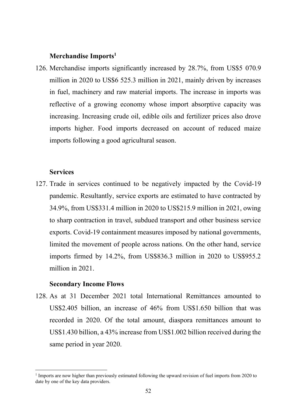#### **Merchandise Imports1**

126. Merchandise imports significantly increased by 28.7%, from US\$5 070.9 million in 2020 to US\$6 525.3 million in 2021, mainly driven by increases in fuel, machinery and raw material imports. The increase in imports was reflective of a growing economy whose import absorptive capacity was increasing. Increasing crude oil, edible oils and fertilizer prices also drove imports higher. Food imports decreased on account of reduced maize imports following a good agricultural season.

#### **Services**

127. Trade in services continued to be negatively impacted by the Covid-19 pandemic. Resultantly, service exports are estimated to have contracted by 34.9%, from US\$331.4 million in 2020 to US\$215.9 million in 2021, owing to sharp contraction in travel, subdued transport and other business service exports. Covid-19 containment measures imposed by national governments, limited the movement of people across nations. On the other hand, service imports firmed by 14.2%, from US\$836.3 million in 2020 to US\$955.2 million in 2021.

#### **Secondary Income Flows**

128. As at 31 December 2021 total International Remittances amounted to US\$2.405 billion, an increase of 46% from US\$1.650 billion that was recorded in 2020. Of the total amount, diaspora remittances amount to US\$1.430 billion, a 43% increase from US\$1.002 billion received during the same period in year 2020.

<sup>&</sup>lt;sup>1</sup> Imports are now higher than previously estimated following the upward revision of fuel imports from 2020 to date by one of the key data providers.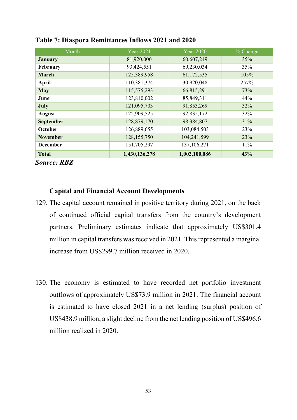| Month              | <b>Year 2021</b> | <b>Year 2020</b> | % Change |
|--------------------|------------------|------------------|----------|
| <b>January</b>     | 81,920,000       | 60,607,249       | 35%      |
| February           | 93,424,551       | 69,230,034       | 35%      |
| March              | 125,389,958      | 61,172,535       | 105%     |
| April              | 110,381,374      | 30,920,048       | 257%     |
| <b>May</b>         | 115,575,293      | 66,815,291       | 73%      |
| June               | 123,810,002      | 85,849,311       | 44%      |
| July               | 121,095,703      | 91,853,269       | 32%      |
| <b>August</b>      | 122,909,525      | 92,835,172       | 32%      |
| <b>September</b>   | 128,879,170      | 98,384,807       | 31%      |
| October            | 126,889,655      | 103,084,503      | 23%      |
| <b>November</b>    | 128, 155, 750    | 104,241,599      | 23%      |
| <b>December</b>    | 151,705,297      | 137,106,271      | 11%      |
| <b>Total</b>       | 1,430,136,278    | 1,002,100,086    | 43%      |
| <b>Source: RBZ</b> |                  |                  |          |

#### **Table 7: Diaspora Remittances Inflows 2021 and 2020**

#### **Capital and Financial Account Developments**

- 129. The capital account remained in positive territory during 2021, on the back of continued official capital transfers from the country's development partners. Preliminary estimates indicate that approximately US\$301.4 million in capital transfers was received in 2021. This represented a marginal increase from US\$299.7 million received in 2020.
- 130. The economy is estimated to have recorded net portfolio investment outflows of approximately US\$73.9 million in 2021. The financial account is estimated to have closed 2021 in a net lending (surplus) position of US\$438.9 million, a slight decline from the net lending position of US\$496.6 million realized in 2020.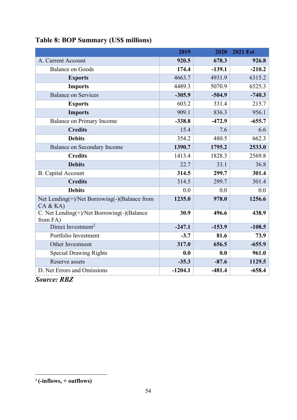|                                                         | 2019      | 2020     | <b>2021 Est</b> |
|---------------------------------------------------------|-----------|----------|-----------------|
| A. Current Account                                      | 920.5     | 678.3    | 926.8           |
| <b>Balance on Goods</b>                                 | 174.4     | $-139.1$ | $-210.2$        |
| <b>Exports</b>                                          | 4663.7    | 4931.9   | 6315.2          |
| <b>Imports</b>                                          | 4489.3    | 5070.9   | 6525.3          |
| <b>Balance on Services</b>                              | $-305.9$  | $-504.9$ | $-740.3$        |
| <b>Exports</b>                                          | 603.2     | 331.4    | 215.7           |
| <b>Imports</b>                                          | 909.1     | 836.3    | 956.1           |
| <b>Balance on Primary Income</b>                        | $-338.8$  | $-472.9$ | $-655.7$        |
| <b>Credits</b>                                          | 15.4      | 7.6      | 6.6             |
| <b>Debits</b>                                           | 354.2     | 480.5    | 662.3           |
| <b>Balance on Secondary Income</b>                      | 1390.7    | 1795.2   | 2533.0          |
| <b>Credits</b>                                          | 1413.4    | 1828.3   | 2569.8          |
| <b>Debits</b>                                           | 22.7      | 33.1     | 36.8            |
| <b>B.</b> Capital Account                               | 314.5     | 299.7    | 301.4           |
| <b>Credits</b>                                          | 314.5     | 299.7    | 301.4           |
| <b>Debits</b>                                           | 0.0       | 0.0      | 0.0             |
| Net Lending(+)/Net Borrowing(-)(Balance from<br>CA & KA | 1235.0    | 978.0    | 1256.6          |
| C. Net Lending(+)/Net Borrowing(-)(Balance<br>from FA)  | 30.9      | 496.6    | 438.9           |
| Direct Investment <sup>2</sup>                          | $-247.1$  | $-153.9$ | $-108.5$        |
| Portfolio Investment                                    | $-3.7$    | 81.6     | 73.9            |
| Other Investment                                        | 317.0     | 656.5    | $-655.9$        |
| <b>Special Drawing Rights</b>                           | 0.0       | 0.0      | 961.0           |
| Reserve assets                                          | $-35.3$   | $-87.6$  | 1129.5          |
| D. Net Errors and Omissions                             | $-1204.1$ | $-481.4$ | $-658.4$        |

# **Table 8: BOP Summary (US\$ millions)**

*Source: RBZ*

<sup>2</sup> **(-inflows, + outflows)**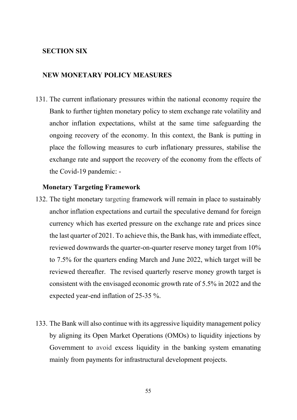#### **SECTION SIX**

#### **NEW MONETARY POLICY MEASURES**

131. The current inflationary pressures within the national economy require the Bank to further tighten monetary policy to stem exchange rate volatility and anchor inflation expectations, whilst at the same time safeguarding the ongoing recovery of the economy. In this context, the Bank is putting in place the following measures to curb inflationary pressures, stabilise the exchange rate and support the recovery of the economy from the effects of the Covid-19 pandemic: -

#### **Monetary Targeting Framework**

- 132. The tight monetary targeting framework will remain in place to sustainably anchor inflation expectations and curtail the speculative demand for foreign currency which has exerted pressure on the exchange rate and prices since the last quarter of 2021. To achieve this, the Bank has, with immediate effect, reviewed downwards the quarter-on-quarter reserve money target from 10% to 7.5% for the quarters ending March and June 2022, which target will be reviewed thereafter. The revised quarterly reserve money growth target is consistent with the envisaged economic growth rate of 5.5% in 2022 and the expected year-end inflation of 25-35 %.
- 133. The Bank will also continue with its aggressive liquidity management policy by aligning its Open Market Operations (OMOs) to liquidity injections by Government to avoid excess liquidity in the banking system emanating mainly from payments for infrastructural development projects.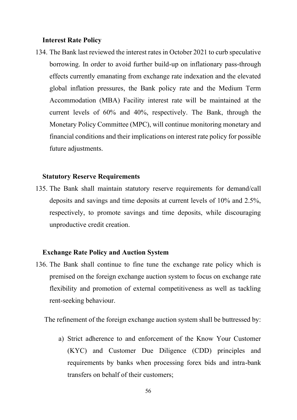#### **Interest Rate Policy**

134. The Bank last reviewed the interest rates in October 2021 to curb speculative borrowing. In order to avoid further build-up on inflationary pass-through effects currently emanating from exchange rate indexation and the elevated global inflation pressures, the Bank policy rate and the Medium Term Accommodation (MBA) Facility interest rate will be maintained at the current levels of 60% and 40%, respectively. The Bank, through the Monetary Policy Committee (MPC), will continue monitoring monetary and financial conditions and their implications on interest rate policy for possible future adjustments.

#### **Statutory Reserve Requirements**

135. The Bank shall maintain statutory reserve requirements for demand/call deposits and savings and time deposits at current levels of 10% and 2.5%, respectively, to promote savings and time deposits, while discouraging unproductive credit creation.

#### **Exchange Rate Policy and Auction System**

136. The Bank shall continue to fine tune the exchange rate policy which is premised on the foreign exchange auction system to focus on exchange rate flexibility and promotion of external competitiveness as well as tackling rent-seeking behaviour.

The refinement of the foreign exchange auction system shall be buttressed by:

a) Strict adherence to and enforcement of the Know Your Customer (KYC) and Customer Due Diligence (CDD) principles and requirements by banks when processing forex bids and intra-bank transfers on behalf of their customers;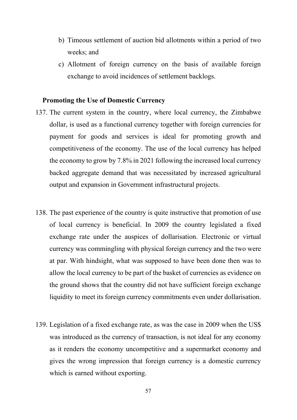- b) Timeous settlement of auction bid allotments within a period of two weeks; and
- c) Allotment of foreign currency on the basis of available foreign exchange to avoid incidences of settlement backlogs.

#### **Promoting the Use of Domestic Currency**

- 137. The current system in the country, where local currency, the Zimbabwe dollar, is used as a functional currency together with foreign currencies for payment for goods and services is ideal for promoting growth and competitiveness of the economy. The use of the local currency has helped the economy to grow by 7.8% in 2021 following the increased local currency backed aggregate demand that was necessitated by increased agricultural output and expansion in Government infrastructural projects.
- 138. The past experience of the country is quite instructive that promotion of use of local currency is beneficial. In 2009 the country legislated a fixed exchange rate under the auspices of dollarisation. Electronic or virtual currency was commingling with physical foreign currency and the two were at par. With hindsight, what was supposed to have been done then was to allow the local currency to be part of the basket of currencies as evidence on the ground shows that the country did not have sufficient foreign exchange liquidity to meet its foreign currency commitments even under dollarisation.
- 139. Legislation of a fixed exchange rate, as was the case in 2009 when the US\$ was introduced as the currency of transaction, is not ideal for any economy as it renders the economy uncompetitive and a supermarket economy and gives the wrong impression that foreign currency is a domestic currency which is earned without exporting.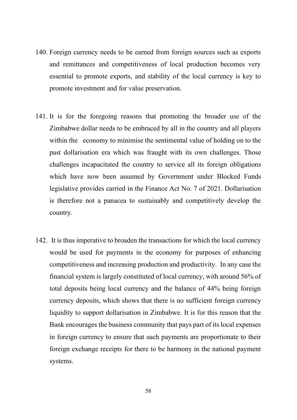- 140. Foreign currency needs to be earned from foreign sources such as exports and remittances and competitiveness of local production becomes very essential to promote exports, and stability of the local currency is key to promote investment and for value preservation.
- 141. It is for the foregoing reasons that promoting the broader use of the Zimbabwe dollar needs to be embraced by all in the country and all players within the economy to minimise the sentimental value of holding on to the past dollarisation era which was fraught with its own challenges. Those challenges incapacitated the country to service all its foreign obligations which have now been assumed by Government under Blocked Funds legislative provides carried in the Finance Act No. 7 of 2021. Dollarisation is therefore not a panacea to sustainably and competitively develop the country.
- 142. It is thus imperative to broaden the transactions for which the local currency would be used for payments in the economy for purposes of enhancing competitiveness and increasing production and productivity. In any case the financial system is largely constituted of local currency, with around 56% of total deposits being local currency and the balance of 44% being foreign currency deposits, which shows that there is no sufficient foreign currency liquidity to support dollarisation in Zimbabwe. It is for this reason that the Bank encourages the business community that pays part of its local expenses in foreign currency to ensure that such payments are proportionate to their foreign exchange receipts for there to be harmony in the national payment systems.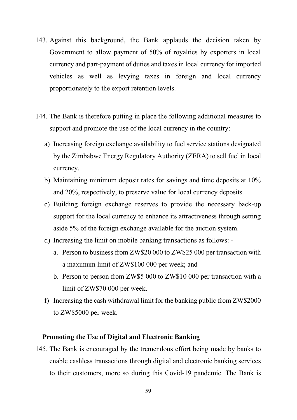- 143. Against this background, the Bank applauds the decision taken by Government to allow payment of 50% of royalties by exporters in local currency and part-payment of duties and taxes in local currency for imported vehicles as well as levying taxes in foreign and local currency proportionately to the export retention levels.
- 144. The Bank is therefore putting in place the following additional measures to support and promote the use of the local currency in the country:
	- a) Increasing foreign exchange availability to fuel service stations designated by the Zimbabwe Energy Regulatory Authority (ZERA) to sell fuel in local currency.
	- b) Maintaining minimum deposit rates for savings and time deposits at 10% and 20%, respectively, to preserve value for local currency deposits.
	- c) Building foreign exchange reserves to provide the necessary back-up support for the local currency to enhance its attractiveness through setting aside 5% of the foreign exchange available for the auction system.
	- d) Increasing the limit on mobile banking transactions as follows:
		- a. Person to business from ZW\$20 000 to ZW\$25 000 per transaction with a maximum limit of ZW\$100 000 per week; and
		- b. Person to person from ZW\$5 000 to ZW\$10 000 per transaction with a limit of ZW\$70 000 per week.
	- f) Increasing the cash withdrawal limit for the banking public from ZW\$2000 to ZW\$5000 per week.

#### **Promoting the Use of Digital and Electronic Banking**

145. The Bank is encouraged by the tremendous effort being made by banks to enable cashless transactions through digital and electronic banking services to their customers, more so during this Covid-19 pandemic. The Bank is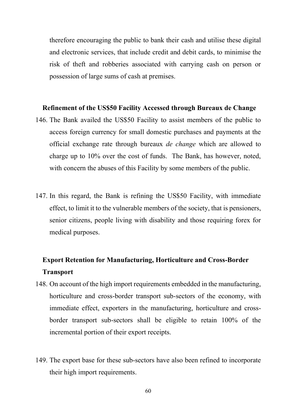therefore encouraging the public to bank their cash and utilise these digital and electronic services, that include credit and debit cards, to minimise the risk of theft and robberies associated with carrying cash on person or possession of large sums of cash at premises.

#### **Refinement of the US\$50 Facility Accessed through Bureaux de Change**

- 146. The Bank availed the US\$50 Facility to assist members of the public to access foreign currency for small domestic purchases and payments at the official exchange rate through bureaux *de change* which are allowed to charge up to 10% over the cost of funds. The Bank, has however, noted, with concern the abuses of this Facility by some members of the public.
- 147. In this regard, the Bank is refining the US\$50 Facility, with immediate effect, to limit it to the vulnerable members of the society, that is pensioners, senior citizens, people living with disability and those requiring forex for medical purposes.

# **Export Retention for Manufacturing, Horticulture and Cross-Border Transport**

- 148. On account of the high import requirements embedded in the manufacturing, horticulture and cross-border transport sub-sectors of the economy, with immediate effect, exporters in the manufacturing, horticulture and crossborder transport sub-sectors shall be eligible to retain 100% of the incremental portion of their export receipts.
- 149. The export base for these sub-sectors have also been refined to incorporate their high import requirements.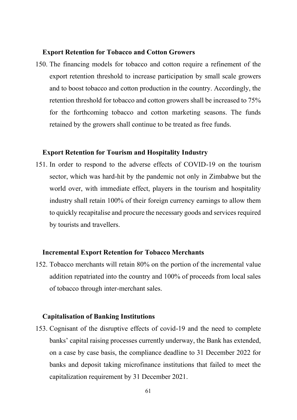#### **Export Retention for Tobacco and Cotton Growers**

150. The financing models for tobacco and cotton require a refinement of the export retention threshold to increase participation by small scale growers and to boost tobacco and cotton production in the country. Accordingly, the retention threshold for tobacco and cotton growers shall be increased to 75% for the forthcoming tobacco and cotton marketing seasons. The funds retained by the growers shall continue to be treated as free funds.

#### **Export Retention for Tourism and Hospitality Industry**

151. In order to respond to the adverse effects of COVID-19 on the tourism sector, which was hard-hit by the pandemic not only in Zimbabwe but the world over, with immediate effect, players in the tourism and hospitality industry shall retain 100% of their foreign currency earnings to allow them to quickly recapitalise and procure the necessary goods and services required by tourists and travellers.

#### **Incremental Export Retention for Tobacco Merchants**

152. Tobacco merchants will retain 80% on the portion of the incremental value addition repatriated into the country and 100% of proceeds from local sales of tobacco through inter-merchant sales.

#### **Capitalisation of Banking Institutions**

153. Cognisant of the disruptive effects of covid-19 and the need to complete banks' capital raising processes currently underway, the Bank has extended, on a case by case basis, the compliance deadline to 31 December 2022 for banks and deposit taking microfinance institutions that failed to meet the capitalization requirement by 31 December 2021.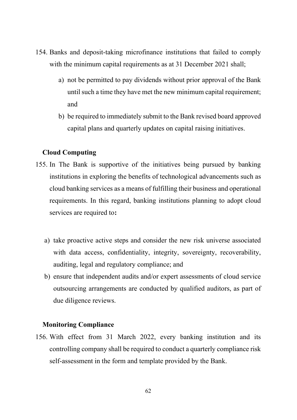- 154. Banks and deposit-taking microfinance institutions that failed to comply with the minimum capital requirements as at 31 December 2021 shall;
	- a) not be permitted to pay dividends without prior approval of the Bank until such a time they have met the new minimum capital requirement; and
	- b) be required to immediately submit to the Bank revised board approved capital plans and quarterly updates on capital raising initiatives.

#### **Cloud Computing**

- 155. In The Bank is supportive of the initiatives being pursued by banking institutions in exploring the benefits of technological advancements such as cloud banking services as a means of fulfilling their business and operational requirements. In this regard, banking institutions planning to adopt cloud services are required to**:**
	- a) take proactive active steps and consider the new risk universe associated with data access, confidentiality, integrity, sovereignty, recoverability, auditing, legal and regulatory compliance; and
	- b) ensure that independent audits and/or expert assessments of cloud service outsourcing arrangements are conducted by qualified auditors, as part of due diligence reviews.

#### **Monitoring Compliance**

156. With effect from 31 March 2022, every banking institution and its controlling company shall be required to conduct a quarterly compliance risk self-assessment in the form and template provided by the Bank.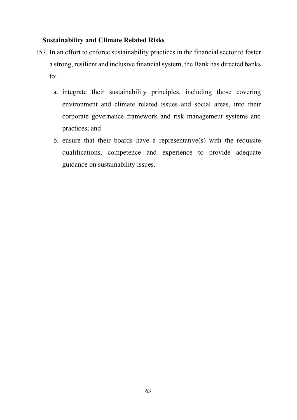#### **Sustainability and Climate Related Risks**

- 157. In an effort to enforce sustainability practices in the financial sector to foster a strong, resilient and inclusive financial system, the Bank has directed banks to:
	- a. integrate their sustainability principles, including those covering environment and climate related issues and social areas, into their corporate governance framework and risk management systems and practices; and
	- b. ensure that their boards have a representative(s) with the requisite qualifications, competence and experience to provide adequate guidance on sustainability issues.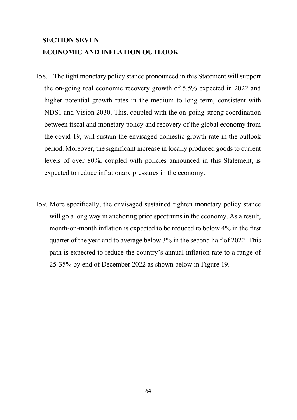# **SECTION SEVEN ECONOMIC AND INFLATION OUTLOOK**

- 158. The tight monetary policy stance pronounced in this Statement will support the on-going real economic recovery growth of 5.5% expected in 2022 and higher potential growth rates in the medium to long term, consistent with NDS1 and Vision 2030. This, coupled with the on-going strong coordination between fiscal and monetary policy and recovery of the global economy from the covid-19, will sustain the envisaged domestic growth rate in the outlook period. Moreover, the significant increase in locally produced goods to current levels of over 80%, coupled with policies announced in this Statement, is expected to reduce inflationary pressures in the economy.
- 159. More specifically, the envisaged sustained tighten monetary policy stance will go a long way in anchoring price spectrums in the economy. As a result, month-on-month inflation is expected to be reduced to below 4% in the first quarter of the year and to average below 3% in the second half of 2022. This path is expected to reduce the country's annual inflation rate to a range of 25-35% by end of December 2022 as shown below in Figure 19.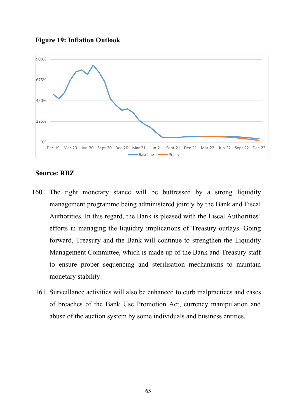



#### **Source: RBZ**

- 160. The tight monetary stance will be buttressed by a strong liquidity management programme being administered jointly by the Bank and Fiscal Authorities. In this regard, the Bank is pleased with the Fiscal Authorities' efforts in managing the liquidity implications of Treasury outlays. Going forward, Treasury and the Bank will continue to strengthen the Liquidity Management Committee, which is made up of the Bank and Treasury staff to ensure proper sequencing and sterilisation mechanisms to maintain monetary stability.
	- 161. Surveillance activities will also be enhanced to curb malpractices and cases of breaches of the Bank Use Promotion Act, currency manipulation and abuse of the auction system by some individuals and business entities.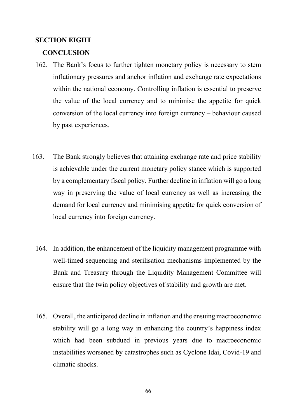#### **SECTION EIGHT**

#### **CONCLUSION**

- 162. The Bank's focus to further tighten monetary policy is necessary to stem inflationary pressures and anchor inflation and exchange rate expectations within the national economy. Controlling inflation is essential to preserve the value of the local currency and to minimise the appetite for quick conversion of the local currency into foreign currency – behaviour caused by past experiences.
- 163. The Bank strongly believes that attaining exchange rate and price stability is achievable under the current monetary policy stance which is supported by a complementary fiscal policy. Further decline in inflation will go a long way in preserving the value of local currency as well as increasing the demand for local currency and minimising appetite for quick conversion of local currency into foreign currency.
	- 164. In addition, the enhancement of the liquidity management programme with well-timed sequencing and sterilisation mechanisms implemented by the Bank and Treasury through the Liquidity Management Committee will ensure that the twin policy objectives of stability and growth are met.
	- 165. Overall, the anticipated decline in inflation and the ensuing macroeconomic stability will go a long way in enhancing the country's happiness index which had been subdued in previous years due to macroeconomic instabilities worsened by catastrophes such as Cyclone Idai, Covid-19 and climatic shocks.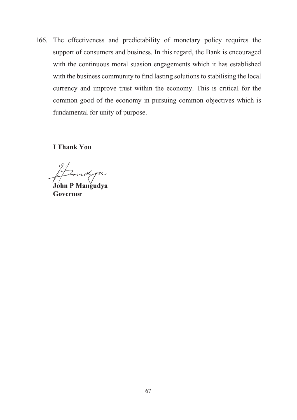166. The effectiveness and predictability of monetary policy requires the support of consumers and business. In this regard, the Bank is encouraged with the continuous moral suasion engagements which it has established with the business community to find lasting solutions to stabilising the local currency and improve trust within the economy. This is critical for the common good of the economy in pursuing common objectives which is fundamental for unity of purpose.

**I Thank You**

ndya

**John P Mangudya Governor**